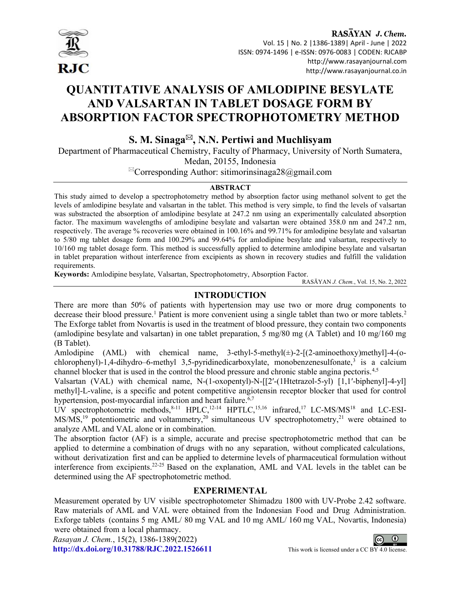

RASAYAN J. Chem. Vol. 15 | No. 2 |1386-1389| April - June | 2022 ISSN: 0974-1496 | e-ISSN: 0976-0083 | CODEN: RJCABP http://www.rasayanjournal.com http://www.rasayanjournal.co.in

# QUANTITATIVE ANALYSIS OF AMLODIPINE BESYLATE AND VALSARTAN IN TABLET DOSAGE FORM BY ABSORPTION FACTOR SPECTROPHOTOMETRY METHOD

## S. M. Sinaga $\mathbb{Z}$ , N.N. Pertiwi and Muchlisyam

Department of Pharmaceutical Chemistry, Faculty of Pharmacy, University of North Sumatera, Medan, 20155, Indonesia

 ${}^{\boxtimes}$ Corresponding Author: sitimorinsinaga28@gmail.com

## ABSTRACT

This study aimed to develop a spectrophotometry method by absorption factor using methanol solvent to get the levels of amlodipine besylate and valsartan in the tablet. This method is very simple, to find the levels of valsartan was substracted the absorption of amlodipine besylate at 247.2 nm using an experimentally calculated absorption factor. The maximum wavelengths of amlodipine besylate and valsartan were obtained 358.0 nm and 247.2 nm, respectively. The average % recoveries were obtained in 100.16% and 99.71% for amlodipine besylate and valsartan to 5/80 mg tablet dosage form and 100.29% and 99.64% for amlodipine besylate and valsartan, respectively to 10/160 mg tablet dosage form. This method is successfully applied to determine amlodipine besylate and valsartan in tablet preparation without interference from excipients as shown in recovery studies and fulfill the validation requirements.

Keywords: Amlodipine besylate, Valsartan, Spectrophotometry, Absorption Factor.

RASĀYAN J. Chem., Vol. 15, No. 2, 2022

## INTRODUCTION

There are more than 50% of patients with hypertension may use two or more drug components to decrease their blood pressure.<sup>1</sup> Patient is more convenient using a single tablet than two or more tablets.<sup>2</sup> The Exforge tablet from Novartis is used in the treatment of blood pressure, they contain two components (amlodipine besylate and valsartan) in one tablet preparation, 5 mg/80 mg (A Tablet) and 10 mg/160 mg (B Tablet).

Amlodipine (AML) with chemical name, 3-ethyl-5-methyl(±)-2-[(2-aminoethoxy)methyl]-4-(ochlorophenyl)-1,4-dihydro–6-methyl 3,5-pyridinedicarboxylate, monobenzenesulfonate,<sup>3</sup> is a calcium channel blocker that is used in the control the blood pressure and chronic stable angina pectoris.<sup>4,5</sup>

Valsartan (VAL) with chemical name, N-(1-oxopentyl)-N-[[2′-(1Htetrazol-5-yl) [1,1′-biphenyl]-4-yl] methyl]-L-valine, is a specific and potent competitive angiotensin receptor blocker that used for control hypertension, post-myocardial infarction and heart failure.<sup>6,7</sup>

UV spectrophotometric methods, 8-11 HPLC, 12-14 HPTLC, 15,16 infrared, 17 LC-MS/MS<sup>18</sup> and LC-ESI- $MS/MS<sub>19</sub>$  potentiometric and voltammetry,<sup>20</sup> simultaneous UV spectrophotometry,<sup>21</sup> were obtained to analyze AML and VAL alone or in combination.

The absorption factor (AF) is a simple, accurate and precise spectrophotometric method that can be applied to determine a combination of drugs with no any separation, without complicated calculations, without derivatization first and can be applied to determine levels of pharmaceutical formulation without interference from excipients.22-25 Based on the explanation, AML and VAL levels in the tablet can be determined using the AF spectrophotometric method.

## EXPERIMENTAL

Measurement operated by UV visible spectrophotometer Shimadzu 1800 with UV-Probe 2.42 software. Raw materials of AML and VAL were obtained from the Indonesian Food and Drug Administration. Exforge tablets (contains 5 mg AML/ 80 mg VAL and 10 mg AML/ 160 mg VAL, Novartis, Indonesia) were obtained from a local pharmacy.

Rasayan J. Chem., 15(2), 1386-1389(2022) http://dx.doi.org/10.31788/RJC.2022.1526611 This work is licensed under a CC BY 4.0 license.

 $\odot$  $(c)$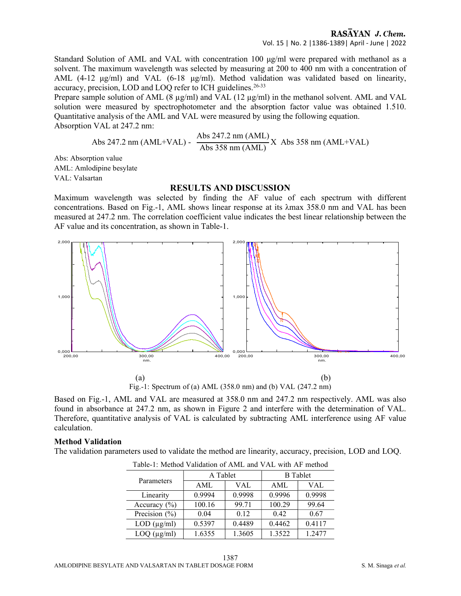Standard Solution of AML and VAL with concentration 100 μg/ml were prepared with methanol as a solvent. The maximum wavelength was selected by measuring at 200 to 400 nm with a concentration of AML (4-12 μg/ml) and VAL (6-18 μg/ml). Method validation was validated based on linearity, accuracy, precision, LOD and LOQ refer to ICH guidelines.<sup>26-33</sup>

Prepare sample solution of AML (8  $\mu$ g/ml) and VAL (12  $\mu$ g/ml) in the methanol solvent. AML and VAL solution were measured by spectrophotometer and the absorption factor value was obtained 1.510. Quantitative analysis of the AML and VAL were measured by using the following equation. Absorption VAL at 247.2 nm:

Abs 247.2 nm (AML+VAL) - 
$$
\frac{\text{Abs } 247.2 \text{ nm (AML)}}{\text{Abs } 358 \text{ nm (AML)}} \text{X Abs } 358 \text{ nm (AML+VAL)}
$$

Abs: Absorption value AML: Amlodipine besylate VAL: Valsartan

#### RESULTS AND DISCUSSION

Maximum wavelength was selected by finding the AF value of each spectrum with different concentrations. Based on Fig.-1, AML shows linear response at its λmax 358.0 nm and VAL has been measured at 247.2 nm. The correlation coefficient value indicates the best linear relationship between the AF value and its concentration, as shown in Table-1.



Fig.-1: Spectrum of (a) AML (358.0 nm) and (b) VAL (247.2 nm)

Based on Fig.-1, AML and VAL are measured at 358.0 nm and 247.2 nm respectively. AML was also found in absorbance at 247.2 nm, as shown in Figure 2 and interfere with the determination of VAL. Therefore, quantitative analysis of VAL is calculated by subtracting AML interference using AF value calculation.

#### Method Validation

The validation parameters used to validate the method are linearity, accuracy, precision, LOD and LOQ.

| Parameters          | A Tablet |        | <b>B</b> Tablet |        |
|---------------------|----------|--------|-----------------|--------|
|                     | AML      | VAL    | AML             | VAL    |
| Linearity           | 0.9994   | 0.9998 | 0.9996          | 0.9998 |
| Accuracy $(\% )$    | 100.16   | 99.71  | 100.29          | 99.64  |
| Precision $(\% )$   | 0.04     | 0.12   | 0.42            | 0.67   |
| $LOD$ ( $\mu$ g/ml) | 0.5397   | 0.4489 | 0.4462          | 0.4117 |
| $LOQ$ ( $\mu$ g/ml) | 1.6355   | 1.3605 | 1.3522          | 1.2477 |

Table-1: Method Validation of AML and VAL with AF method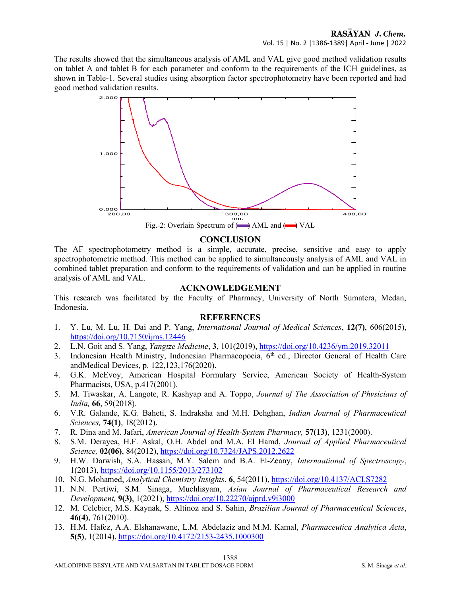The results showed that the simultaneous analysis of AML and VAL give good method validation results on tablet A and tablet B for each parameter and conform to the requirements of the ICH guidelines, as shown in Table-1. Several studies using absorption factor spectrophotometry have been reported and had good method validation results.



## **CONCLUSION**

The AF spectrophotometry method is a simple, accurate, precise, sensitive and easy to apply spectrophotometric method. This method can be applied to simultaneously analysis of AML and VAL in combined tablet preparation and conform to the requirements of validation and can be applied in routine analysis of AML and VAL.

### ACKNOWLEDGEMENT

This research was facilitated by the Faculty of Pharmacy, University of North Sumatera, Medan, Indonesia.

#### **REFERENCES**

- 1. Y. Lu, M. Lu, H. Dai and P. Yang, International Journal of Medical Sciences, 12(7), 606(2015), https://doi.org/10.7150/ijms.12446
- 2. L.N. Goit and S. Yang, *Yangtze Medicine*, 3, 101(2019), https://doi.org/10.4236/ym.2019.32011
- 3. Indonesian Health Ministry, Indonesian Pharmacopoeia, 6<sup>th</sup> ed., Director General of Health Care and Medical Devices, p. 122,123,176(2020).
- 4. G.K. McEvoy, American Hospital Formulary Service, American Society of Health-System Pharmacists, USA, p.417(2001).
- 5. M. Tiwaskar, A. Langote, R. Kashyap and A. Toppo, Journal of The Association of Physicians of India, 66, 59(2018).
- 6. V.R. Galande, K.G. Baheti, S. Indraksha and M.H. Dehghan, Indian Journal of Pharmaceutical Sciences, 74(1), 18(2012).
- 7. R. Dina and M. Jafari, American Journal of Health-System Pharmacy, 57(13), 1231(2000).
- 8. S.M. Derayea, H.F. Askal, O.H. Abdel and M.A. El Hamd, Journal of Applied Pharmaceutical Science, 02(06), 84(2012), https://doi.org/10.7324/JAPS.2012.2622
- 9. H.W. Darwish, S.A. Hassan, M.Y. Salem and B.A. El-Zeany, Internaational of Spectroscopy, 1(2013), https://doi.org/10.1155/2013/273102
- 10. N.G. Mohamed, Analytical Chemistry Insights, 6, 54(2011), https://doi.org/10.4137/ACI.S7282
- 11. N.N. Pertiwi, S.M. Sinaga, Muchlisyam, Asian Journal of Pharmaceutical Research and Development, 9(3), 1(2021), https://doi.org/10.22270/ajprd.v9i3000
- 12. M. Celebier, M.S. Kaynak, S. Altinoz and S. Sahin, Brazilian Journal of Pharmaceutical Sciences, 46(4), 761(2010).
- 13. H.M. Hafez, A.A. Elshanawane, L.M. Abdelaziz and M.M. Kamal, Pharmaceutica Analytica Acta, 5(5), 1(2014), https://doi.org/10.4172/2153-2435.1000300